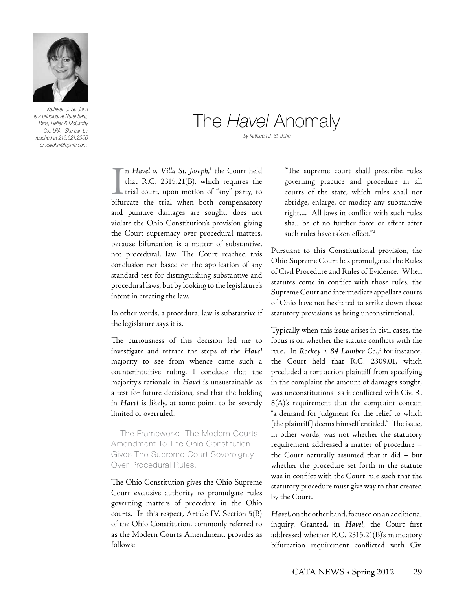

*Kathleen J. St. John is a principal at Nurenberg, Paris, Heller & McCarthy Co., LPA. She can be reached at 216.621.2300 or kstjohn@nphm.com.*

# The *Havel* Anomaly

*by Kathleen J. St. John*

I<br>bifur n *Havel v. Villa St. Joseph*, 1 the Court held that R.C. 2315.21(B), which requires the trial court, upon motion of "any" party, to bifurcate the trial when both compensatory and punitive damages are sought, does not violate the Ohio Constitution's provision giving the Court supremacy over procedural matters, because bifurcation is a matter of substantive, not procedural, law. The Court reached this conclusion not based on the application of any standard test for distinguishing substantive and procedural laws, but by looking to the legislature's intent in creating the law.

In other words, a procedural law is substantive if the legislature says it is.

The curiousness of this decision led me to investigate and retrace the steps of the *Havel*  majority to see from whence came such a counterintuitive ruling. I conclude that the majority's rationale in *Havel* is unsustainable as a test for future decisions, and that the holding in *Havel* is likely, at some point, to be severely limited or overruled.

I. The Framework: The Modern Courts Amendment To The Ohio Constitution Gives The Supreme Court Sovereignty Over Procedural Rules.

The Ohio Constitution gives the Ohio Supreme Court exclusive authority to promulgate rules governing matters of procedure in the Ohio courts. In this respect, Article IV, Section 5(B) of the Ohio Constitution, commonly referred to as the Modern Courts Amendment, provides as follows:

"The supreme court shall prescribe rules governing practice and procedure in all courts of the state, which rules shall not abridge, enlarge, or modify any substantive right.... All laws in conflict with such rules shall be of no further force or effect after such rules have taken effect."2

Pursuant to this Constitutional provision, the Ohio Supreme Court has promulgated the Rules of Civil Procedure and Rules of Evidence. When statutes come in conflict with those rules, the Supreme Court and intermediate appellate courts of Ohio have not hesitated to strike down those statutory provisions as being unconstitutional.

Typically when this issue arises in civil cases, the focus is on whether the statute conflicts with the rule. In *Rockey v. 84 Lumber Co.*, 3 for instance, the Court held that R.C. 2309.01, which precluded a tort action plaintiff from specifying in the complaint the amount of damages sought, was unconstitutional as it conflicted with Civ. R. 8(A)'s requirement that the complaint contain "a demand for judgment for the relief to which [the plaintiff] deems himself entitled." The issue, in other words, was not whether the statutory requirement addressed a matter of procedure – the Court naturally assumed that it did – but whether the procedure set forth in the statute was in conflict with the Court rule such that the statutory procedure must give way to that created by the Court.

*Havel,* on the other hand, focused on an additional inquiry. Granted, in *Havel*, the Court first addressed whether R.C. 2315.21(B)'s mandatory bifurcation requirement conflicted with Civ.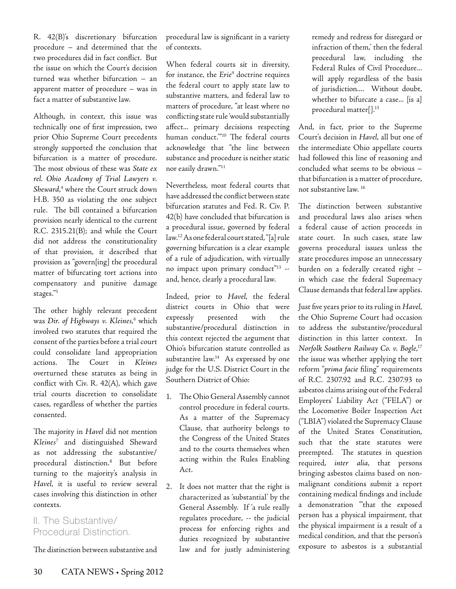R. 42(B)'s discretionary bifurcation procedure – and determined that the two procedures did in fact conflict. But the issue on which the Court's decision turned was whether bifurcation – an apparent matter of procedure – was in fact a matter of substantive law.

Although, in context, this issue was technically one of first impression, two prior Ohio Supreme Court precedents strongly supported the conclusion that bifurcation is a matter of procedure. The most obvious of these was *State ex rel. Ohio Academy of Trial Lawyers v.*  Sheward,<sup>4</sup> where the Court struck down H.B. 350 as violating the one subject rule. The bill contained a bifurcation provision nearly identical to the current R.C. 2315.21(B); and while the Court did not address the constitutionality of that provision, it described that provision as "govern[ing] the procedural matter of bifurcating tort actions into compensatory and punitive damage stages."5

The other highly relevant precedent was Dir. of Highways v. Kleines,<sup>6</sup> which involved two statutes that required the consent of the parties before a trial court could consolidate land appropriation actions. The Court in *Kleines*  overturned these statutes as being in conflict with Civ. R. 42(A), which gave trial courts discretion to consolidate cases, regardless of whether the parties consented.

The majority in *Havel* did not mention *Kleines*<sup>7</sup> and distinguished Sheward as not addressing the substantive/ procedural distinction.8 But before turning to the majority's analysis in *Havel*, it is useful to review several cases involving this distinction in other contexts.

### II. The Substantive/ Procedural Distinction.

The distinction between substantive and

procedural law is significant in a variety of contexts.

When federal courts sit in diversity, for instance, the *Erie*<sup>9</sup> doctrine requires the federal court to apply state law to substantive matters, and federal law to matters of procedure, "at least where no conflicting state rule 'would substantially affect... primary decisions respecting human conduct.'"10 The federal courts acknowledge that "the line between substance and procedure is neither static nor easily drawn."11

Nevertheless, most federal courts that have addressed the conflict between state bifurcation statutes and Fed. R. Civ. P. 42(b) have concluded that bifurcation is a procedural issue, governed by federal law.12 As one federal court stated, "[a] rule governing bifurcation is a clear example of a rule of adjudication, with virtually no impact upon primary conduct"13 - and, hence, clearly a procedural law.

Indeed, prior to *Havel*, the federal district courts in Ohio that were expressly presented with the substantive/procedural distinction in this context rejected the argument that Ohio's bifurcation statute controlled as substantive law.<sup>14</sup> As expressed by one judge for the U.S. District Court in the Southern District of Ohio:

- 1. The Ohio General Assembly cannot control procedure in federal courts. As a matter of the Supremacy Clause, that authority belongs to the Congress of the United States and to the courts themselves when acting within the Rules Enabling Act.
- 2. It does not matter that the right is characterized as 'substantial' by the General Assembly. If 'a rule really regulates procedure, -- the judicial process for enforcing rights and duties recognized by substantive law and for justly administering

remedy and redress for disregard or infraction of them,' then the federal procedural law, including the Federal Rules of Civil Procedure... will apply regardless of the basis of jurisdiction.... Without doubt, whether to bifurcate a case... [is a] procedural matter[].15

And, in fact, prior to the Supreme Court's decision in *Havel*, all but one of the intermediate Ohio appellate courts had followed this line of reasoning and concluded what seems to be obvious – that bifurcation is a matter of procedure, not substantive law. 16

The distinction between substantive and procedural laws also arises when a federal cause of action proceeds in state court. In such cases, state law governs procedural issues unless the state procedures impose an unnecessary burden on a federally created right – in which case the federal Supremacy Clause demands that federal law applies.

Just five years prior to its ruling in *Havel*, the Ohio Supreme Court had occasion to address the substantive/procedural distinction in this latter context. In *Norfolk Southern Railway Co. v. Bogle*, 17 the issue was whether applying the tort reform "*prima facie* filing" requirements of R.C. 2307.92 and R.C. 2307.93 to asbestos claims arising out of the Federal Employers' Liability Act ("FELA") or the Locomotive Boiler Inspection Act ("LBIA") violated the Supremacy Clause of the United States Constitution, such that the state statutes were preempted. The statutes in question required, *inter alia*, that persons bringing asbestos claims based on nonmalignant conditions submit a report containing medical findings and include a demonstration "'that the exposed person has a physical impairment, that the physical impairment is a result of a medical condition, and that the person's exposure to asbestos is a substantial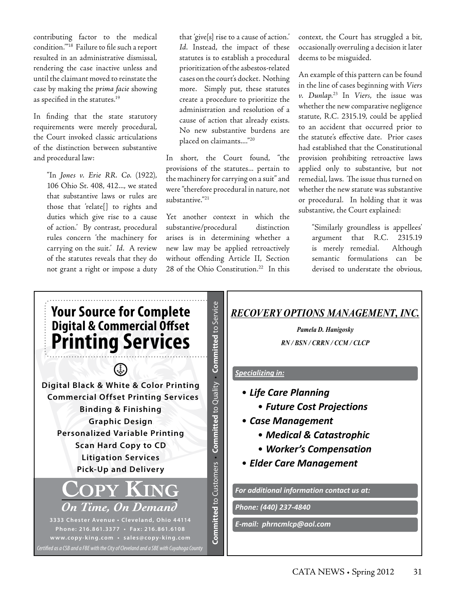contributing factor to the medical condition.'"18 Failure to file such a report resulted in an administrative dismissal, rendering the case inactive unless and until the claimant moved to reinstate the case by making the *prima facie* showing as specified in the statutes.<sup>19</sup>

In finding that the state statutory requirements were merely procedural, the Court invoked classic articulations of the distinction between substantive and procedural law:

> "In *Jones v. Erie RR. Co.* (1922), 106 Ohio St. 408, 412..., we stated that substantive laws or rules are those that 'relate[] to rights and duties which give rise to a cause of action.' By contrast, procedural rules concern 'the machinery for carrying on the suit.' *Id.* A review of the statutes reveals that they do not grant a right or impose a duty

that 'give[s] rise to a cause of action.' *Id.* Instead, the impact of these statutes is to establish a procedural prioritization of the asbestos-related cases on the court's docket. Nothing more. Simply put, these statutes create a procedure to prioritize the administration and resolution of a cause of action that already exists. No new substantive burdens are placed on claimants...."20

In short, the Court found, "the provisions of the statutes... pertain to the machinery for carrying on a suit" and were "therefore procedural in nature, not substantive."21

Yet another context in which the substantive/procedural distinction arises is in determining whether a new law may be applied retroactively without offending Article II, Section 28 of the Ohio Constitution.<sup>22</sup> In this context, the Court has struggled a bit, occasionally overruling a decision it later deems to be misguided.

An example of this pattern can be found in the line of cases beginning with *Viers v. Dunlap*. 23 In *Viers*, the issue was whether the new comparative negligence statute, R.C. 2315.19, could be applied to an accident that occurred prior to the statute's effective date. Prior cases had established that the Constitutional provision prohibiting retroactive laws applied only to substantive, but not remedial, laws. The issue thus turned on whether the new statute was substantive or procedural. In holding that it was substantive, the Court explained:

> "Similarly groundless is appellees' argument that R.C. 2315.19 is merely remedial. Although semantic formulations can be devised to understate the obvious,

> > *RN / BSN / CRRN / CCM / CLCP*



## *RECOVERY OPTIONS MANAGEMENT, INC.*

*Pamela D. Hanigosky*  $RN/BSN/CRRN/CCM/CLCP$ 

#### *Specializing in:*

- *Future Cost Projections Life Care Planning*
	- *Future Cost Projections*
- *Medical & Catastrophic* • *Case Management*
	- *Medical & Catastrophic*
- $\mathbf{v} = \mathbf{w} \cdot \mathbf{w} \cdot \mathbf{w} \cdot \mathbf{w}$ • *Worker's Compensation*
- *Elder Care Management Elder Care Management*

*Phone: (440) 237-4840 Phone: (440) 237-4840* 

*E-mail: phrncmlcp@aol.com E-mail: phrncmlcp@aol.com*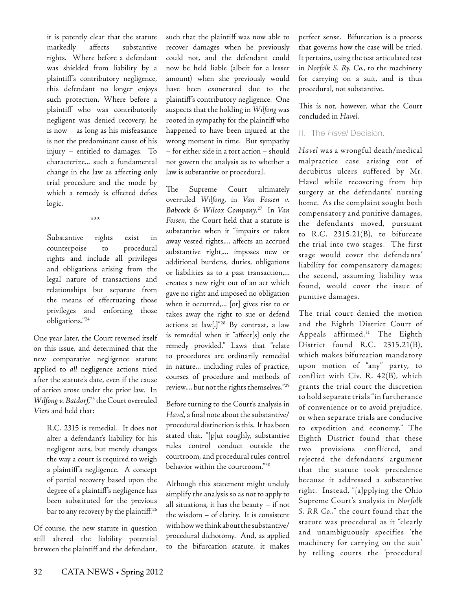it is patently clear that the statute markedly affects substantive rights. Where before a defendant was shielded from liability by a plaintiff's contributory negligence, this defendant no longer enjoys such protection. Where before a plaintiff who was contributorily negligent was denied recovery, he is now – as long as his misfeasance is not the predominant cause of his injury – entitled to damages. To characterize... such a fundamental change in the law as affecting only trial procedure and the mode by which a remedy is effected defies logic.

\*\*\*

Substantive rights exist in counterpoise to procedural rights and include all privileges and obligations arising from the legal nature of transactions and relationships but separate from the means of effectuating those privileges and enforcing those obligations."24

One year later, the Court reversed itself on this issue, and determined that the new comparative negligence statute applied to *all* negligence actions tried after the statute's date, even if the cause of action arose under the prior law. In *Wilfong v. Batdorf*, 25 the Court overruled *Viers* and held that:

> R.C. 2315 is remedial. It does not alter a defendant's liability for his negligent acts, but merely changes the way a court is required to weigh a plaintiff's negligence. A concept of partial recovery based upon the degree of a plaintiff's negligence has been substituted for the previous bar to any recovery by the plaintiff.<sup>26</sup>

Of course, the new statute in question still altered the liability potential between the plaintiff and the defendant, such that the plaintiff was now able to recover damages when he previously could not, and the defendant could now be held liable (albeit for a lesser amount) when she previously would have been exonerated due to the plaintiff's contributory negligence. One suspects that the holding in *Wilfong* was rooted in sympathy for the plaintiff who happened to have been injured at the wrong moment in time. But sympathy – for either side in a tort action – should not govern the analysis as to whether a law is substantive or procedural.

The Supreme Court ultimately overruled *Wilfong*, in *Van Fossen v. Babcock & Wilcox Company*. 27 In *Van Fossen*, the Court held that a statute is substantive when it "impairs or takes away vested rights,... affects an accrued substantive right,... imposes new or additional burdens, duties, obligations or liabilities as to a past transaction,... creates a new right out of an act which gave no right and imposed no obligation when it occurred,... [or] gives rise to or takes away the right to sue or defend actions at law[.]"28 By contrast, a law is remedial when it "affect[s] only the remedy provided." Laws that "relate to procedures are ordinarily remedial in nature... including rules of practice, courses of procedure and methods of review,... but not the rights themselves."29

Before turning to the Court's analysis in *Havel*, a final note about the substantive/ procedural distinction is this. It has been stated that, "[p]ut roughly, substantive rules control conduct outside the courtroom, and procedural rules control behavior within the courtroom."30

Although this statement might unduly simplify the analysis so as not to apply to all situations, it has the beauty – if not the wisdom – of clarity. It is consistent with how we think about the substantive/ procedural dichotomy. And, as applied to the bifurcation statute, it makes perfect sense. Bifurcation is a process that governs how the case will be tried. It pertains, using the test articulated test in *Norfolk S. Ry. Co.*, to the machinery for carrying on a suit, and is thus procedural, not substantive.

This is not, however, what the Court concluded in *Havel.*

#### III. The *Havel* Decision.

*Havel* was a wrongful death/medical malpractice case arising out of decubitus ulcers suffered by Mr. Havel while recovering from hip surgery at the defendants' nursing home. As the complaint sought both compensatory and punitive damages, the defendants moved, pursuant to R.C. 2315.21(B), to bifurcate the trial into two stages. The first stage would cover the defendants' liability for compensatory damages; the second, assuming liability was found, would cover the issue of punitive damages.

The trial court denied the motion and the Eighth District Court of Appeals affirmed.31 The Eighth District found R.C. 2315.21(B), which makes bifurcation mandatory upon motion of "any" party, to conflict with Civ. R.  $42(B)$ , which grants the trial court the discretion to hold separate trials "in furtherance of convenience or to avoid prejudice, or when separate trials are conducive to expedition and economy." The Eighth District found that these two provisions conflicted, and rejected the defendants' argument that the statute took precedence because it addressed a substantive right. Instead, "[a]pplying the Ohio Supreme Court's analysis in *Norfolk S. RR Co.,*" the court found that the statute was procedural as it "clearly and unambiguously specifies 'the machinery for carrying on the suit' by telling courts the 'procedural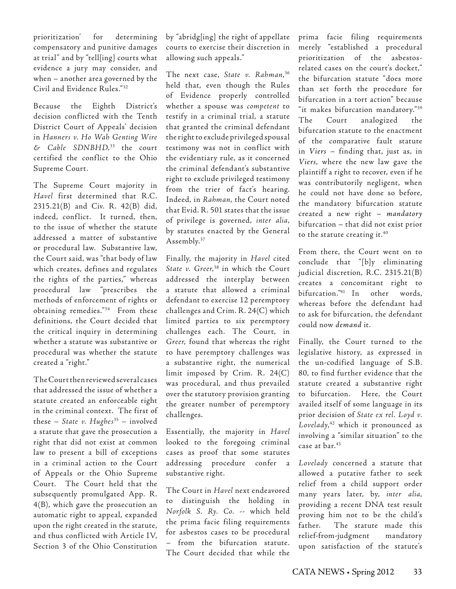prioritization' for determining compensatory and punitive damages at trial" and by "tell[ing] courts what evidence a jury may consider, and when – another area governed by the Civil and Evidence Rules."32

Because the Eighth District's decision conflicted with the Tenth District Court of Appeals' decision in *Hanners v. Ho Wah Genting Wire & Cable SDNBHD,*33 the court certified the conflict to the Ohio Supreme Court.

The Supreme Court majority in *Havel* first determined that R.C. 2315.21(B) and Civ. R. 42(B) did, indeed, conflict. It turned, then, to the issue of whether the statute addressed a matter of substantive or procedural law. Substantive law, the Court said, was "that body of law which creates, defines and regulates the rights of the parties," whereas procedural law "prescribes the methods of enforcement of rights or obtaining remedies."34 From these definitions, the Court decided that the critical inquiry in determining whether a statute was substantive or procedural was whether the statute created a "right."

The Court then reviewed several cases that addressed the issue of whether a statute created an enforceable right in the criminal context. The first of these – *State v. Hughes*35 – involved a statute that gave the prosecution a right that did not exist at common law to present a bill of exceptions in a criminal action to the Court of Appeals or the Ohio Supreme Court. The Court held that the subsequently promulgated App. R. 4(B), which gave the prosecution an automatic right to appeal, expanded upon the right created in the statute, and thus conflicted with Article IV, Section 3 of the Ohio Constitution

by "abridg[ing] the right of appellate courts to exercise their discretion in allowing such appeals."

The next case, *State v. Rahman*, 36 held that, even though the Rules of Evidence properly controlled whether a spouse was *competent* to testify in a criminal trial, a statute that granted the criminal defendant the right to exclude privileged spousal testimony was not in conflict with the evidentiary rule, as it concerned the criminal defendant's substantive right to exclude privileged testimony from the trier of fact's hearing. Indeed, in *Rahman*, the Court noted that Evid. R. 501 states that the issue of privilege is governed, *inter alia*, by statutes enacted by the General Assembly.37

Finally, the majority in *Havel* cited *State v. Greer*, 38 in which the Court addressed the interplay between a statute that allowed a criminal defendant to exercise 12 peremptory challenges and Crim. R. 24(C) which limited parties to six peremptory challenges each. The Court, in *Greer*, found that whereas the right to have peremptory challenges was a substantive right, the numerical limit imposed by Crim. R. 24(C) was procedural, and thus prevailed over the statutory provision granting the greater number of peremptory challenges.

Essentially, the majority in *Havel*  looked to the foregoing criminal cases as proof that some statutes addressing procedure confer a substantive right.

The Court in *Havel* next endeavored to distinguish the holding in *Norfolk S. Ry. Co.* -- which held the prima facie filing requirements for asbestos cases to be procedural – from the bifurcation statute. The Court decided that while the

prima facie filing requirements merely "established a procedural prioritization of the asbestosrelated cases on the court's docket," the bifurcation statute "does more than set forth the procedure for bifurcation in a tort action" because "it makes bifurcation mandatory."39 The Court analogized the bifurcation statute to the enactment of the comparative fault statute in *Viers* – finding that, just as, in *Viers*, where the new law gave the plaintiff a right to recover, even if he was contributorily negligent, when he could not have done so before, the mandatory bifurcation statute created a new right – *mandatory* bifurcation – that did not exist prior to the statute creating it.<sup>40</sup>

From there, the Court went on to conclude that "[b]y eliminating judicial discretion, R.C. 2315.21(B) creates a concomitant right to bifurcation."41 In other words, whereas before the defendant had to ask for bifurcation, the defendant could now *demand* it.

Finally, the Court turned to the legislative history, as expressed in the un-codified language of S.B. 80, to find further evidence that the statute created a substantive right to bifurcation. Here, the Court availed itself of some language in its prior decision of *State ex rel. Loyd v. Lovelady*, 42 which it pronounced as involving a "similar situation" to the case at bar.43

*Lovelady* concerned a statute that allowed a putative father to seek relief from a child support order many years later, by, *inter alia*, providing a recent DNA test result proving him not to be the child's father. The statute made this relief-from-judgment mandatory upon satisfaction of the statute's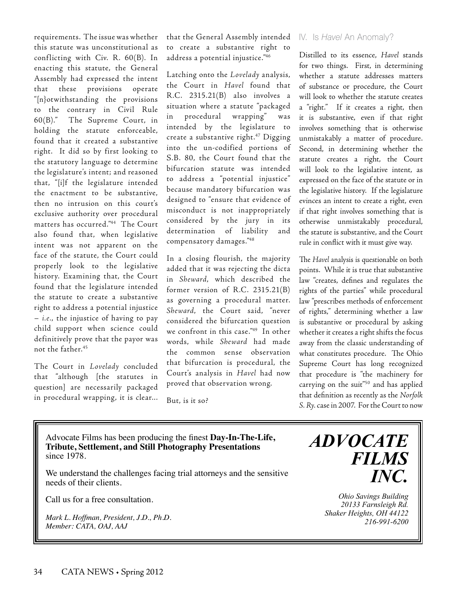requirements. The issue was whether this statute was unconstitutional as conflicting with Civ. R. 60(B). In enacting this statute, the General Assembly had expressed the intent that these provisions operate "[n}otwithstanding the provisions to the contrary in Civil Rule 60(B)." The Supreme Court, in holding the statute enforceable, found that it created a substantive right. It did so by first looking to the statutory language to determine the legislature's intent; and reasoned that, "[i]f the legislature intended the enactment to be substantive, then no intrusion on this court's exclusive authority over procedural matters has occurred."44 The Court also found that, when legislative intent was not apparent on the face of the statute, the Court could properly look to the legislative history. Examining that, the Court found that the legislature intended the statute to create a substantive right to address a potential injustice – *i.e.*, the injustice of having to pay child support when science could definitively prove that the payor was not the father.45

The Court in *Lovelady* concluded that "although [the statutes in question] are necessarily packaged in procedural wrapping, it is clear... that the General Assembly intended to create a substantive right to address a potential injustice."46

Latching onto the *Lovelady* analysis, the Court in *Havel* found that R.C. 2315.21(B) also involves a situation where a statute "packaged in procedural wrapping" was intended by the legislature to create a substantive right.47 Digging into the un-codified portions of S.B. 80, the Court found that the bifurcation statute was intended to address a "potential injustice" because mandatory bifurcation was designed to "ensure that evidence of misconduct is not inappropriately considered by the jury in its determination of liability and compensatory damages."48

In a closing flourish, the majority added that it was rejecting the dicta in *Sheward*, which described the former version of R.C. 2315.21(B) as governing a procedural matter. *Sheward*, the Court said, "never considered the bifurcation question we confront in this case."49 In other words, while *Sheward* had made the common sense observation that bifurcation is procedural, the Court's analysis in *Havel* had now proved that observation wrong.

But, is it so?

#### IV. Is *Havel* An Anomaly?

Distilled to its essence, *Havel* stands for two things. First, in determining whether a statute addresses matters of substance or procedure, the Court will look to whether the statute creates a "right." If it creates a right, then it is substantive, even if that right involves something that is otherwise unmistakably a matter of procedure. Second, in determining whether the statute creates a right, the Court will look to the legislative intent, as expressed on the face of the statute or in the legislative history. If the legislature evinces an intent to create a right, even if that right involves something that is otherwise unmistakably procedural, the statute is substantive, and the Court rule in conflict with it must give way.

The *Havel* analysis is questionable on both points. While it is true that substantive law "creates, defines and regulates the rights of the parties" while procedural law "prescribes methods of enforcement of rights," determining whether a law is substantive or procedural by asking whether it creates a right shifts the focus away from the classic understanding of what constitutes procedure. The Ohio Supreme Court has long recognized that procedure is "the machinery for carrying on the suit"50 and has applied that definition as recently as the *Norfolk S. Ry.* case in 2007. For the Court to now

Advocate Films has been producing the finest **Day-In-The-Life, Tribute, Settlement, and Still Photography Presentations** since 1978.

We understand the challenges facing trial attorneys and the sensitive needs of their clients.

Call us for a free consultation.

*Mark L. Hoffman, President, J.D., Ph.D. Member: CATA, OAJ, AAJ*

*AdvocAte Films inc.*

> *Ohio Savings Building 20133 Farnsleigh Rd. Shaker Heights, OH 44122 216-991-6200*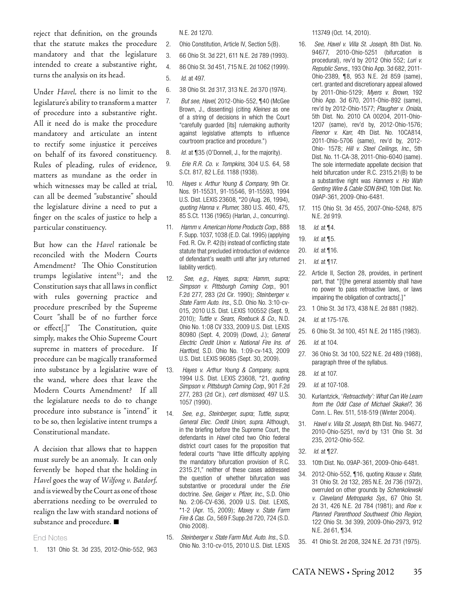reject that definition, on the grounds that the statute makes the procedure mandatory and that the legislature intended to create a substantive right, turns the analysis on its head.

Under *Havel,* there is no limit to the legislature's ability to transform a matter of procedure into a substantive right. All it need do is make the procedure mandatory and articulate an intent to rectify some injustice it perceives on behalf of its favored constituency. Rules of pleading, rules of evidence, matters as mundane as the order in which witnesses may be called at trial, can all be deemed "substantive" should the legislature divine a need to put a finger on the scales of justice to help a particular constituency.

But how can the *Havel* rationale be reconciled with the Modern Courts Amendment? The Ohio Constitution trumps legislative intent $51$ ; and the Constitution says that all laws in conflict with rules governing practice and procedure prescribed by the Supreme Court "shall be of no further force or effect[.]" The Constitution, quite simply, makes the Ohio Supreme Court supreme in matters of procedure. If procedure can be magically transformed into substance by a legislative wave of the wand, where does that leave the Modern Courts Amendment? If all the legislature needs to do to change procedure into substance is "intend" it to be so, then legislative intent trumps a Constitutional mandate.

A decision that allows that to happen must surely be an anomaly. It can only fervently be hoped that the holding in *Havel* goes the way of *Wilfong v. Batdorf,* and is viewed by the Court as one of those aberrations needing to be overruled to realign the law with standard notions of substance and procedure. **■**

#### End Notes

1. 131 Ohio St. 3d 235, 2012-Ohio-552, 963

N.E. 2d 1270.

- 2. Ohio Constitution, Article IV, Section 5(B).
- 3. 66 Ohio St. 3d 221, 611 N.E. 2d 789 (1993).
- 4. 86 Ohio St. 3d 451, 715 N.E. 2d 1062 (1999).

5. *Id.* at 497.

- 6. 38 Ohio St. 2d 317, 313 N.E. 2d 370 (1974).
- 7. *But see, Havel*, 2012-Ohio-552, ¶40 (McGee Brown, J., dissenting) (citing *Kleines* as one of a string of decisions in which the Court "carefully guarded [its] rulemaking authority against legislative attempts to influence courtroom practice and procedure.")
- 8. *Id.* at ¶35 (O'Donnell, J., for the majority).
- 9. *Erie R.R. Co. v. Tompkins*, 304 U.S. 64, 58 S.Ct. 817, 82 L.Ed. 1188 (1938).
- 10. *Hayes v. Arthur Young & Company,* 9th Cir. Nos. 91-15531, 91-15546, 91-15593, 1994 U.S. Dist. LEXIS 23608, \*20 (Aug. 26, 1994), *quoting Hanna v. Plumer*, 380 U.S. 460, 475, 85 S.Ct. 1136 (1965) (Harlan, J., concurring).
- 11. *Hamm v. American Home Products Corp.*, 888 F. Supp. 1037, 1038 (E.D. Cal. 1995) (applying Fed. R. Civ. P. 42(b) instead of conflicting state statute that precluded introduction of evidence of defendant's wealth until after jury returned liability verdict).
- 12. *See, e.g., Hayes, supra; Hamm, supra; Simpson v. Pittsburgh Corning Corp*., 901 F.2d 277, 283 (2d Cir. 1990); *Steinberger v. State Farm Auto. Ins.*, S.D. Ohio No. 3:10-cv-015, 2010 U.S. Dist. LEXIS 100552 (Sept. 9, 2010); *Tuttle v. Sears, Roebuck & Co.*, N.D. Ohio No. 1:08 CV 333, 2009 U.S. Dist. LEXIS 80980 (Sept. 4, 2009) (Dowd, J.); *General Electric Credit Union v. National Fire Ins. of Hartford*, S.D. Ohio No. 1:09-cv-143, 2009 U.S. Dist. LEXIS 96085 (Sept. 30, 2009).
- 13. *Hayes v. Arthur Young & Company, supra*, 1994 U.S. Dist. LEXIS 23608, \*21, *quoting Simpson v. Pittsburgh Corning Corp.*, 901 F.2d 277, 283 (2d Cir.), *cert dismissed*, 497 U.S. 1057 (1990).
- 14. *See, e.g., Steinberger*, *supra*; *Tuttle*, *supra*; *General Elec. Credit Union*, *supra*. Although, in the briefing before the Supreme Court, the defendants in *Havel* cited two Ohio federal district court cases for the proposition that federal courts "have little difficulty applying the mandatory bifurcation provision of R.C. 2315.21," neither of these cases addressed the question of whether bifurcation was substantive or procedural under the *Erie*  doctrine. *See, Geiger v. Pfizer, Inc.*, S.D. Ohio No. 2:06-CV-636, 2009 U.S. Dist. LEXIS, \*1-2 (Apr. 15, 2009); *Maxey v. State Farm Fire & Cas. Co.*, 569 F.Supp.2d 720, 724 (S.D. Ohio 2008).
- 15. *Steinberger v. State Farm Mut. Auto. Ins.*, S.D. Ohio No. 3:10-cv-015, 2010 U.S. Dist. LEXIS

113749 (Oct. 14, 2010).

- 16. *See, Havel v. Villa St. Joseph*, 8th Dist. No. 94677, 2010-Ohio-5251 (bifurcation is procedural), rev'd by 2012 Ohio 552; *Luri v. Republic Servs.*, 193 Ohio App. 3d 682, 2011- Ohio-2389, ¶8, 953 N.E. 2d 859 (same), cert. granted and discretionary appeal allowed by 2011-Ohio-5129; *Myers v. Brown*, 192 Ohio App. 3d 670, 2011-Ohio-892 (same), rev'd by 2012-Ohio-1577; *Plaugher v. Oniala*, 5th Dist. No. 2010 CA 00204, 2011-Ohio-1207 (same), rev'd by, 2012-Ohio-1576; *Fleenor v. Karr*, 4th Dist. No. 10CA814, 2011-Ohio-5706 (same), rev'd by, 2012- Ohio- 1578; *Hill v. Steel Ceilings, Inc.*, 5th Dist. No. 11-CA-38, 2011-Ohio-6040 (same). The sole intermediate appellate decision that held bifurcation under R.C. 2315.21(B) to be a substantive right was *Hanners v. Ho Wah Genting Wire & Cable SDN BHD*, 10th Dist. No. 09AP-361, 2009-Ohio-6481.
- 17. 115 Ohio St. 3d 455, 2007-Ohio-5248, 875 N.E. 2d 919.
- 18. *Id.* at ¶4.
- 19. *Id.* at ¶5.
- 20. *Id.* at ¶16.
- 21. *Id.* at ¶17.
- 22. Article II, Section 28, provides, in pertinent part, that "[t]he general assembly shall have no power to pass retroactive laws, or laws impairing the obligation of contracts[.]"
- 23. 1 Ohio St. 3d 173, 438 N.E. 2d 881 (1982).
- 24. *Id.* at 175-176.
- 25. 6 Ohio St. 3d 100, 451 N.E. 2d 1185 (1983).
- 26. *Id.* at 104.
- 27. 36 Ohio St. 3d 100, 522 N.E. 2d 489 (1988), paragraph three of the syllabus.
- 28. *Id.* at 107.
- 29. *Id.* at 107-108.
- 30. Kurlantzick, '*Retroactivity': What Can We Learn from the Odd Case of Michael Skakel?*, 36 Conn. L. Rev. 511, 518-519 (Winter 2004).
- 31. *Havel v. Villa St. Joseph*, 8th Dist. No. 94677, 2010-Ohio-5251, rev'd by 131 Ohio St. 3d 235, 2012-Ohio-552.
- 32. *Id.* at ¶27.
- 33. 10th Dist. No. 09AP-361, 2009-Ohio-6481.
- 34. 2012-Ohio-552, ¶16, quoting *Krause v. State*, 31 Ohio St. 2d 132, 285 N.E. 2d 736 (1972), overruled on other grounds by *Schenkolewski v. Cleveland Metroparks Sys.*, 67 Ohio St. 2d 31, 426 N.E. 2d 784 (1981); and *Roe v. Planned Parenthood Southwest Ohio Region*, 122 Ohio St. 3d 399, 2009-Ohio-2973, 912 N.E. 2d 61, ¶34.
- 35. 41 Ohio St. 2d 208, 324 N.E. 2d 731 (1975).